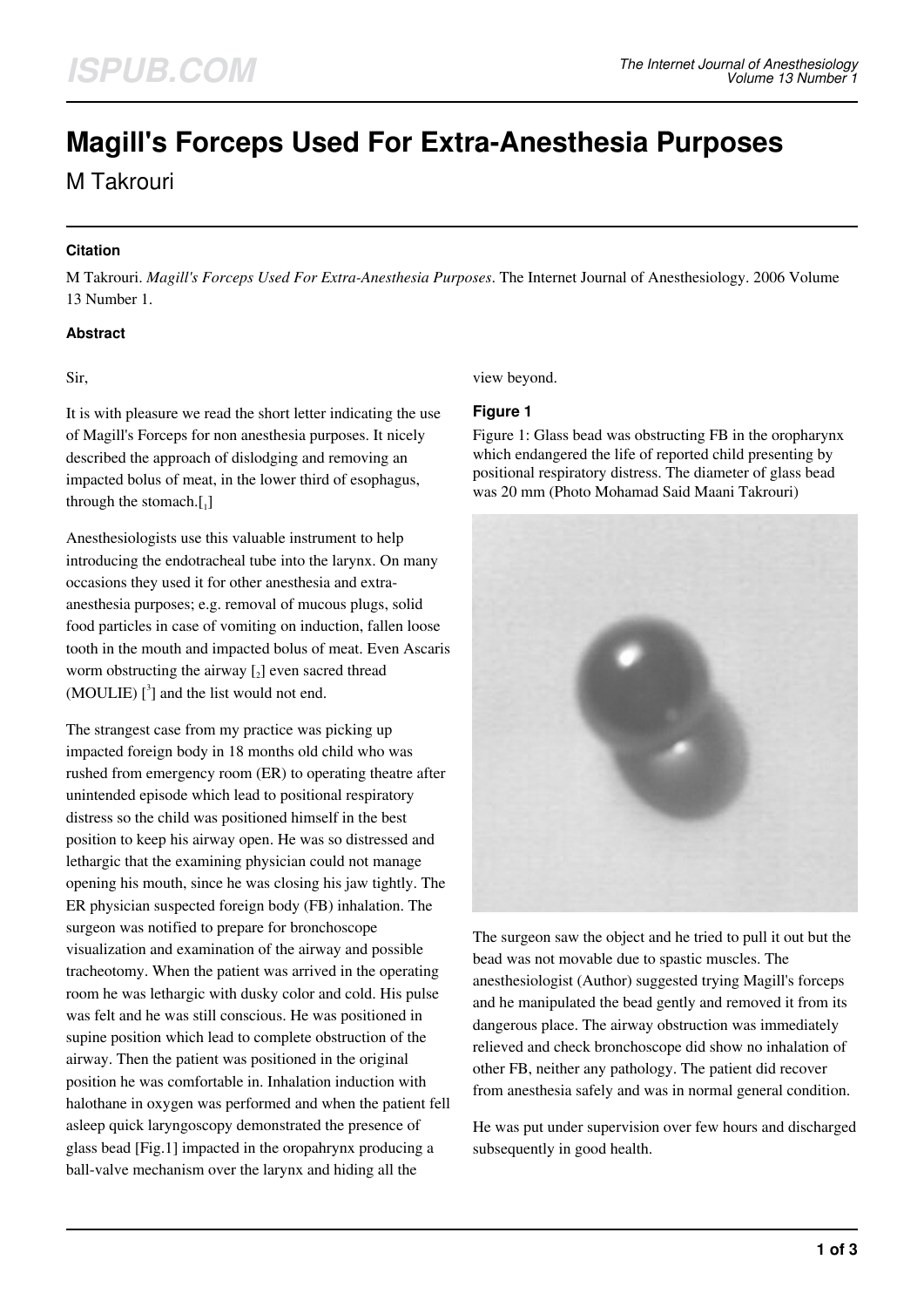# **Magill's Forceps Used For Extra-Anesthesia Purposes**

M Takrouri

#### **Citation**

M Takrouri. *Magill's Forceps Used For Extra-Anesthesia Purposes*. The Internet Journal of Anesthesiology. 2006 Volume 13 Number 1.

#### **Abstract**

#### Sir,

It is with pleasure we read the short letter indicating the use of Magill's Forceps for non anesthesia purposes. It nicely described the approach of dislodging and removing an impacted bolus of meat, in the lower third of esophagus, through the stomach. $[$ <sub>1</sub>]

Anesthesiologists use this valuable instrument to help introducing the endotracheal tube into the larynx. On many occasions they used it for other anesthesia and extraanesthesia purposes; e.g. removal of mucous plugs, solid food particles in case of vomiting on induction, fallen loose tooth in the mouth and impacted bolus of meat. Even Ascaris worm obstructing the airway  $\left[2\right]$  even sacred thread  $(MOULIE)$   $\binom{3}{1}$  and the list would not end.

The strangest case from my practice was picking up impacted foreign body in 18 months old child who was rushed from emergency room (ER) to operating theatre after unintended episode which lead to positional respiratory distress so the child was positioned himself in the best position to keep his airway open. He was so distressed and lethargic that the examining physician could not manage opening his mouth, since he was closing his jaw tightly. The ER physician suspected foreign body (FB) inhalation. The surgeon was notified to prepare for bronchoscope visualization and examination of the airway and possible tracheotomy. When the patient was arrived in the operating room he was lethargic with dusky color and cold. His pulse was felt and he was still conscious. He was positioned in supine position which lead to complete obstruction of the airway. Then the patient was positioned in the original position he was comfortable in. Inhalation induction with halothane in oxygen was performed and when the patient fell asleep quick laryngoscopy demonstrated the presence of glass bead [Fig.1] impacted in the oropahrynx producing a ball-valve mechanism over the larynx and hiding all the

view beyond.

#### **Figure 1**

Figure 1: Glass bead was obstructing FB in the oropharynx which endangered the life of reported child presenting by positional respiratory distress. The diameter of glass bead was 20 mm (Photo Mohamad Said Maani Takrouri)



The surgeon saw the object and he tried to pull it out but the bead was not movable due to spastic muscles. The anesthesiologist (Author) suggested trying Magill's forceps and he manipulated the bead gently and removed it from its dangerous place. The airway obstruction was immediately relieved and check bronchoscope did show no inhalation of other FB, neither any pathology. The patient did recover from anesthesia safely and was in normal general condition.

He was put under supervision over few hours and discharged subsequently in good health.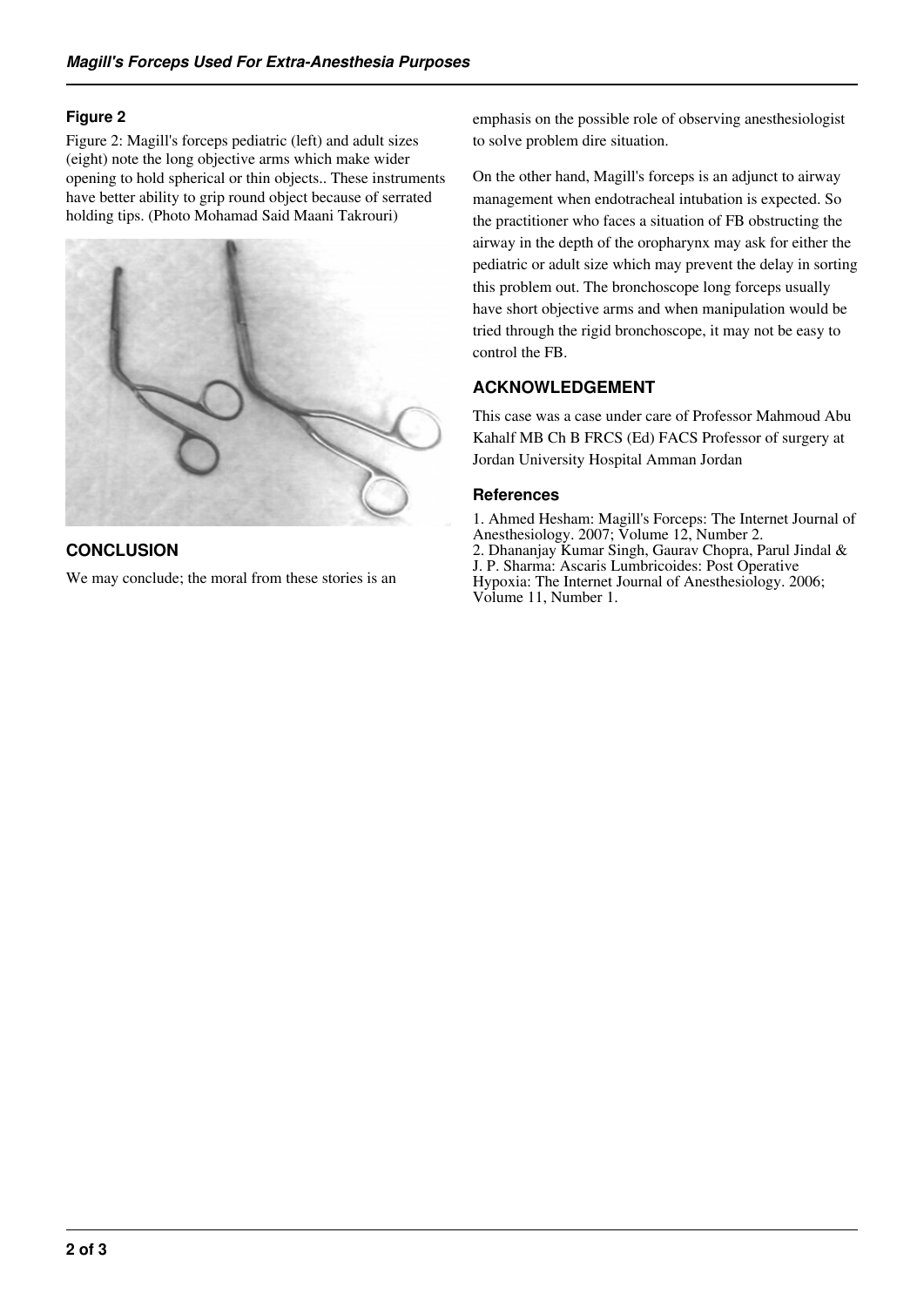#### **Figure 2**

Figure 2: Magill's forceps pediatric (left) and adult sizes (eight) note the long objective arms which make wider opening to hold spherical or thin objects.. These instruments have better ability to grip round object because of serrated holding tips. (Photo Mohamad Said Maani Takrouri)



## **CONCLUSION**

We may conclude; the moral from these stories is an

emphasis on the possible role of observing anesthesiologist to solve problem dire situation.

On the other hand, Magill's forceps is an adjunct to airway management when endotracheal intubation is expected. So the practitioner who faces a situation of FB obstructing the airway in the depth of the oropharynx may ask for either the pediatric or adult size which may prevent the delay in sorting this problem out. The bronchoscope long forceps usually have short objective arms and when manipulation would be tried through the rigid bronchoscope, it may not be easy to control the FB.

### **ACKNOWLEDGEMENT**

This case was a case under care of Professor Mahmoud Abu Kahalf MB Ch B FRCS (Ed) FACS Professor of surgery at Jordan University Hospital Amman Jordan

#### **References**

1. Ahmed Hesham: Magill's Forceps: The Internet Journal of Anesthesiology. 2007; Volume 12, Number 2. 2. Dhananjay Kumar Singh, Gaurav Chopra, Parul Jindal & J. P. Sharma: Ascaris Lumbricoides: Post Operative Hypoxia: The Internet Journal of Anesthesiology. 2006; Volume 11, Number 1.